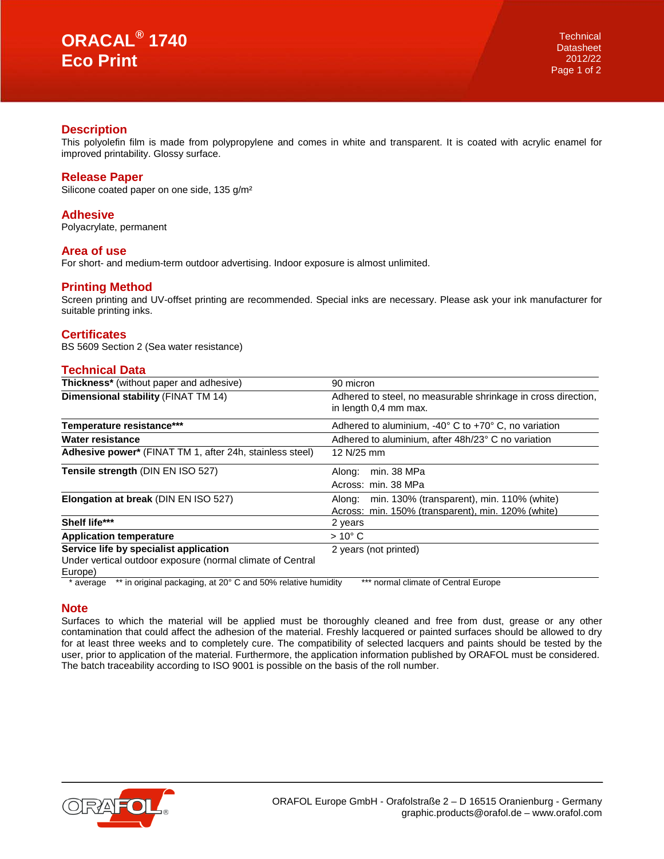## **Description**

This polyolefin film is made from polypropylene and comes in white and transparent. It is coated with acrylic enamel for improved printability. Glossy surface.

### **Release Paper**

Silicone coated paper on one side, 135 g/m²

#### **Adhesive**

Polyacrylate, permanent

#### **Area of use**

For short- and medium-term outdoor advertising. Indoor exposure is almost unlimited.

### **Printing Method**

Screen printing and UV-offset printing are recommended. Special inks are necessary. Please ask your ink manufacturer for suitable printing inks.

# **Certificates**

BS 5609 Section 2 (Sea water resistance)

# **Technical Data**

| <b>Thickness*</b> (without paper and adhesive)                            | 90 micron                                                                              |
|---------------------------------------------------------------------------|----------------------------------------------------------------------------------------|
| Dimensional stability (FINAT TM 14)                                       | Adhered to steel, no measurable shrinkage in cross direction,<br>in length 0,4 mm max. |
| Temperature resistance***                                                 | Adhered to aluminium, -40° C to +70° C, no variation                                   |
| Water resistance                                                          | Adhered to aluminium, after 48h/23° C no variation                                     |
| Adhesive power* (FINAT TM 1, after 24h, stainless steel)                  | 12 N/25 mm                                                                             |
| Tensile strength (DIN EN ISO 527)                                         | min. 38 MPa<br>Along:                                                                  |
|                                                                           | Across: min. 38 MPa                                                                    |
| Elongation at break (DIN EN ISO 527)                                      | min. 130% (transparent), min. 110% (white)<br>Along:                                   |
|                                                                           | Across: min. 150% (transparent). min. 120% (white)                                     |
| Shelf life***                                                             | 2 years                                                                                |
| <b>Application temperature</b>                                            | $>10^{\circ}$ C                                                                        |
| Service life by specialist application                                    | 2 years (not printed)                                                                  |
| Under vertical outdoor exposure (normal climate of Central                |                                                                                        |
| Europe)                                                                   |                                                                                        |
| ** in original packaging, at 20° C and 50% relative humidity<br>* average | *** normal climate of Central Europe                                                   |

### **Note**

Surfaces to which the material will be applied must be thoroughly cleaned and free from dust, grease or any other contamination that could affect the adhesion of the material. Freshly lacquered or painted surfaces should be allowed to dry for at least three weeks and to completely cure. The compatibility of selected lacquers and paints should be tested by the user, prior to application of the material. Furthermore, the application information published by ORAFOL must be considered. The batch traceability according to ISO 9001 is possible on the basis of the roll number.